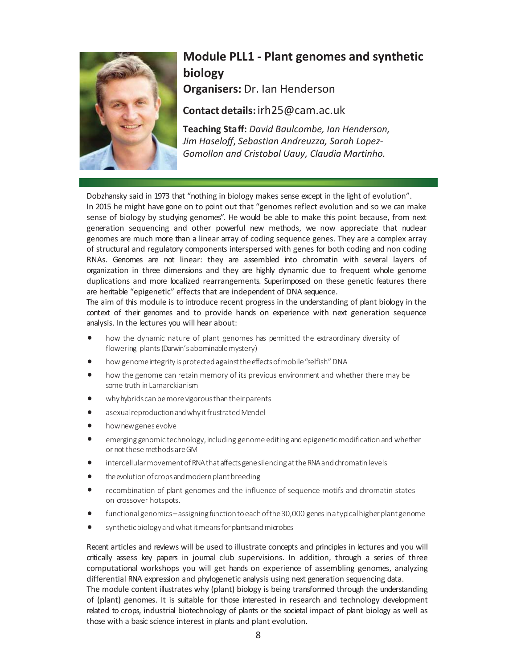

## **Module PLL1 - Plant genomes and synthetic biology**

**OrganiserƐ:** Dr. Ian Henderson

## **Contact details:** irh25@cam.ac.uk

**Teaching Staff:** *David Baulcombe, Ian Henderson, Jim Haseloff*, Sebastian Andreuzza, Sarah Lopez-*Gomollon and Cristobal Uauy, Claudia Martinho.* 

Dobzhansky said in 1973 that "nothing in biology makes sense except in the light of evolution". In 2015 he might have gone on to point out that "genomes reflect evolution and so we can make sense of biology by studying genomes". He would be able to make this point because, from next generation sequencing and other powerful new methods, we now appreciate that nuclear genomes are much more than a linear array of coding sequence genes. They are a complex array of structural and regulatory components interspersed with genes for both coding and non coding RNAs. Genomes are not linear: they are assembled into chromatin with several layers of organization in three dimensions and they are highly dynamic due to frequent whole genome duplications and more localized rearrangements. Superimposed on these genetic features there are heritable "epigenetic" effects that are independent of DNA sequence.

The aim of this module is to introduce recent progress in the understanding of plant biology in the context of their genomes and to provide hands on experience with next generation sequence analysis. In the lectures you will hear about:

- how the dynamic nature of plant genomes has permitted the extraordinary diversity of flowering plants (Darwin's abominable mystery)
- how genome integrity is protected against the effects of mobile "selfish" DNA
- how the genome can retain memory of its previous environment and whether there may be some truth in Lamarckianism
- why hybrids can be more vigorous than their parents
- asexual reproduction and why it frustrated Mendel
- how new genes evolve
- emerging genomic technology, including genome editing and epigenetic modification and whether or not these methods are GM
- intercellular movement of RNA that affects gene silencing at the RNA and chromatin levels
- the evolution of crops and modern plant breeding
- recombination of plant genomes and the influence of sequence motifs and chromatin states on crossover hotspots.
- functional genomics assigning function to each of the 30,000 genes in a typical higher plant genome
- s yn the tic biology and what it means for plants and microbes

Recent articles and reviews will be used to illustrate concepts and principles in lectures and you will critically assess key papers in journal club supervisions. In addition, through a series of three computational workshops you will get hands on experience of assembling genomes, analyzing differential RNA expression and phylogenetic analysis using next generation sequencing data.

The module content illustrates why (plant) biology is being transformed through the understanding of (plant) genomes. It is suitable for those interested in research and technology development related to crops, industrial biotechnology of plants or the societal impact of plant biology as well as those with a basic science interest in plants and plant evolution.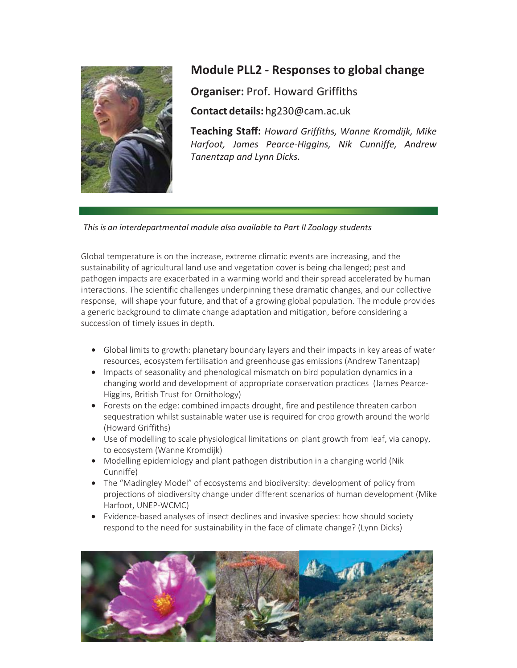

## **Module PLL2 - Responses to global change**

**Organiser:** Prof. Howard Griffiths

**Contact details:** hg230@cam.ac.uŬ

**Teaching Staff:** *Howard Griffiths, Wanne Kromdijk, Mike Harfoot, James Pearce-Higgins, Nik Cunniffe, Andrew Tanentzap* and Lynn Dicks.

*This is an interdepartmental module also available to Part II Zoology students*

Global temperature is on the increase, extreme climatic events are increasing, and the sustainability of agricultural land use and vegetation cover is being challenged; pest and pathogen impacts are exacerbated in a warming world and their spread accelerated by human interactions. The scientific challenges underpinning these dramatic changes, and our collective response, will shape your future, and that of a growing global population. The module provides a generic background to climate change adaptation and mitigation, before considering a succession of timely issues in depth.

- Global limits to growth: planetary boundary layers and their impacts in key areas of water resources, ecosystem fertilisation and greenhouse gas emissions (Andrew Tanentzap)
- Impacts of seasonality and phenological mismatch on bird population dynamics in a changing world and development of appropriate conservation practices (James Pearce-Higgins, British Trust for Ornithology)
- Forests on the edge: combined impacts drought, fire and pestilence threaten carbon sequestration whilst sustainable water use is required for crop growth around the world (Howard Griffiths)
- Use of modelling to scale physiological limitations on plant growth from leaf, via canopy, to ecosystem (Wanne Kromdijk)
- Modelling epidemiology and plant pathogen distribution in a changing world (Nik Cunniffe)
- The "Madingley Model" of ecosystems and biodiversity: development of policy from projections of biodiversity change under different scenarios of human development (Mike Harfoot, UNEP-WCMC)
- Evidence-based analyses of insect declines and invasive species: how should society respond to the need for sustainability in the face of climate change? (Lynn Dicks)